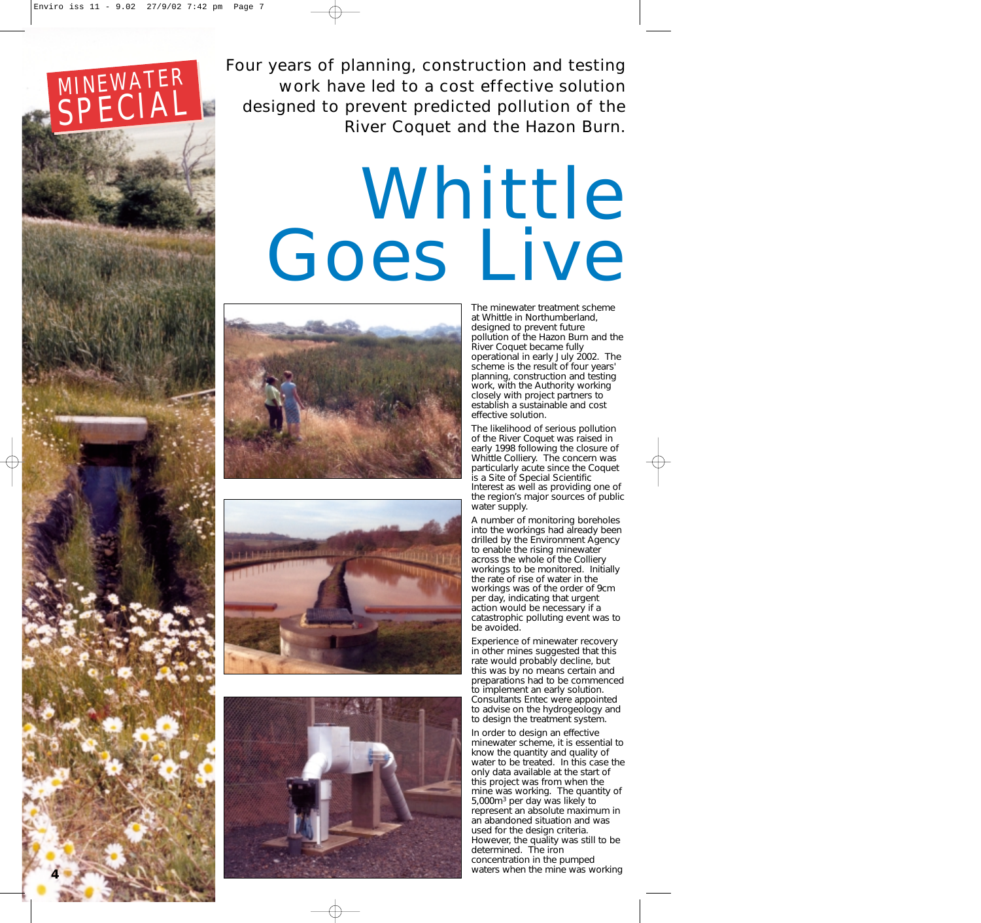

**4**

Four years of planning, construction and testing work have led to a cost effective solution designed to prevent predicted pollution of the River Coquet and the Hazon Burn.

## Whittle Goes Live







The minewater treatment scheme at Whittle in Northumberland, designed to prevent future pollution of the Hazon Burn and the River Coquet became fully operational in early July 2002. The scheme is the result of four years' planning, construction and testing work, with the Authority working closely with project partners to establish a sustainable and cost effective solution.

The likelihood of serious pollution of the River Coquet was raised in early 1998 following the closure of Whittle Colliery. The concern was particularly acute since the Coquet is a Site of Special Scientific Interest as well as providing one of the region's major sources of public water supply.

A number of monitoring boreholes into the workings had already been drilled by the Environment Agency to enable the rising minewater across the whole of the Colliery workings to be monitored. Initially the rate of rise of water in the workings was of the order of 9cm per day, indicating that urgent action would be necessary if a catastrophic polluting event was to be avoided.

Experience of minewater recovery in other mines suggested that this rate would probably decline, but this was by no means certain and preparations had to be commenced to implement an early solution. Consultants Entec were appointed to advise on the hydrogeology and to design the treatment system.

In order to design an effective minewater scheme, it is essential to know the quantity and quality of water to be treated. In this case the only data available at the start of this project was from when the mine was working. The quantity of 5,000m3 per day was likely to represent an absolute maximum in an abandoned situation and was used for the design criteria. However, the quality was still to be determined. The iron concentration in the pumped waters when the mine was working